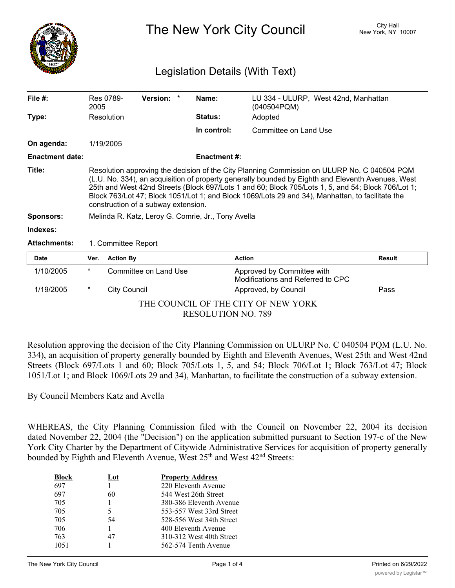

The New York City Council New York, NY 10007

## Legislation Details (With Text)

| File $#$ :             | 2005                                                                                                                                                                                                                                                                                                                                                                                                                                              | Res 0789-                                          | Version: *            |  | Name:               | LU 334 - ULURP, West 42nd, Manhattan<br>(040504PQM)             |               |
|------------------------|---------------------------------------------------------------------------------------------------------------------------------------------------------------------------------------------------------------------------------------------------------------------------------------------------------------------------------------------------------------------------------------------------------------------------------------------------|----------------------------------------------------|-----------------------|--|---------------------|-----------------------------------------------------------------|---------------|
| Type:                  |                                                                                                                                                                                                                                                                                                                                                                                                                                                   | Resolution                                         |                       |  | <b>Status:</b>      | Adopted                                                         |               |
|                        |                                                                                                                                                                                                                                                                                                                                                                                                                                                   |                                                    |                       |  | In control:         | Committee on Land Use                                           |               |
| On agenda:             |                                                                                                                                                                                                                                                                                                                                                                                                                                                   | 1/19/2005                                          |                       |  |                     |                                                                 |               |
| <b>Enactment date:</b> |                                                                                                                                                                                                                                                                                                                                                                                                                                                   |                                                    |                       |  | <b>Enactment #:</b> |                                                                 |               |
| Title:                 | Resolution approving the decision of the City Planning Commission on ULURP No. C 040504 PQM<br>(L.U. No. 334), an acquisition of property generally bounded by Eighth and Eleventh Avenues, West<br>25th and West 42nd Streets (Block 697/Lots 1 and 60; Block 705/Lots 1, 5, and 54; Block 706/Lot 1;<br>Block 763/Lot 47; Block 1051/Lot 1; and Block 1069/Lots 29 and 34), Manhattan, to facilitate the<br>construction of a subway extension. |                                                    |                       |  |                     |                                                                 |               |
| <b>Sponsors:</b>       |                                                                                                                                                                                                                                                                                                                                                                                                                                                   | Melinda R. Katz, Leroy G. Comrie, Jr., Tony Avella |                       |  |                     |                                                                 |               |
| Indexes:               |                                                                                                                                                                                                                                                                                                                                                                                                                                                   |                                                    |                       |  |                     |                                                                 |               |
| <b>Attachments:</b>    |                                                                                                                                                                                                                                                                                                                                                                                                                                                   | 1. Committee Report                                |                       |  |                     |                                                                 |               |
| <b>Date</b>            | Ver.                                                                                                                                                                                                                                                                                                                                                                                                                                              | <b>Action By</b>                                   |                       |  |                     | <b>Action</b>                                                   | <b>Result</b> |
| 1/10/2005              | *                                                                                                                                                                                                                                                                                                                                                                                                                                                 |                                                    | Committee on Land Use |  |                     | Approved by Committee with<br>Modifications and Referred to CPC |               |
| 1/19/2005              | *                                                                                                                                                                                                                                                                                                                                                                                                                                                 | <b>City Council</b>                                |                       |  |                     | Approved, by Council                                            | Pass          |

THE COUNCIL OF THE CITY OF NEW YORK RESOLUTION NO. 789

Resolution approving the decision of the City Planning Commission on ULURP No. C 040504 PQM (L.U. No. 334), an acquisition of property generally bounded by Eighth and Eleventh Avenues, West 25th and West 42nd Streets (Block 697/Lots 1 and 60; Block 705/Lots 1, 5, and 54; Block 706/Lot 1; Block 763/Lot 47; Block 1051/Lot 1; and Block 1069/Lots 29 and 34), Manhattan, to facilitate the construction of a subway extension.

By Council Members Katz and Avella

WHEREAS, the City Planning Commission filed with the Council on November 22, 2004 its decision dated November 22, 2004 (the "Decision") on the application submitted pursuant to Section 197-c of the New York City Charter by the Department of Citywide Administrative Services for acquisition of property generally bounded by Eighth and Eleventh Avenue, West 25<sup>th</sup> and West 42<sup>nd</sup> Streets:

| Lot | <b>Property Address</b>  |
|-----|--------------------------|
|     | 220 Eleventh Avenue      |
| 60  | 544 West 26th Street     |
|     | 380-386 Eleventh Avenue  |
| 5   | 553-557 West 33rd Street |
| 54  | 528-556 West 34th Street |
|     | 400 Eleventh Avenue      |
| 47  | 310-312 West 40th Street |
|     | 562-574 Tenth Avenue     |
|     |                          |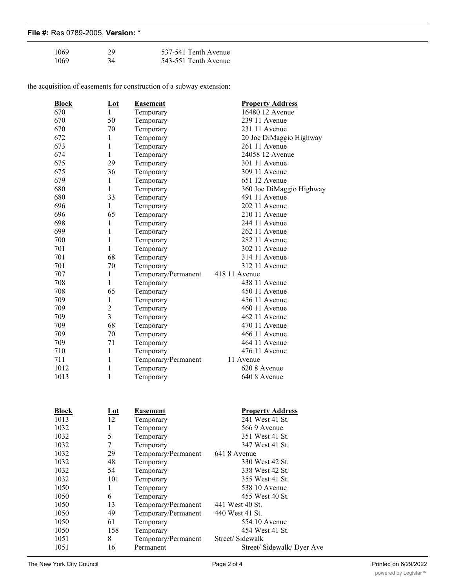|  |  | File #: Res 0789-2005, Version: * |  |  |
|--|--|-----------------------------------|--|--|
|--|--|-----------------------------------|--|--|

| 1069 | 29 | 537-541 Tenth Avenue |
|------|----|----------------------|
| 1069 | 34 | 543-551 Tenth Avenue |

the acquisition of easements for construction of a subway extension:

| <b>Block</b> | $Let$          | <b>Easement</b>     | <b>Property Address</b>  |
|--------------|----------------|---------------------|--------------------------|
| 670          | $\mathbf{1}$   | Temporary           | 16480 12 Avenue          |
| 670          | 50             | Temporary           | 239 11 Avenue            |
| 670          | 70             | Temporary           | 231 11 Avenue            |
| 672          | 1              | Temporary           | 20 Joe DiMaggio Highway  |
| 673          | $\mathbf{1}$   | Temporary           | 261 11 Avenue            |
| 674          | $\mathbf{1}$   | Temporary           | 24058 12 Avenue          |
| 675          | 29             | Temporary           | 301 11 Avenue            |
| 675          | 36             | Temporary           | 309 11 Avenue            |
| 679          | $\mathbf{1}$   | Temporary           | 651 12 Avenue            |
| 680          | $\mathbf{1}$   | Temporary           | 360 Joe DiMaggio Highway |
| 680          | 33             | Temporary           | 491 11 Avenue            |
| 696          | $\mathbf{1}$   | Temporary           | 202 11 Avenue            |
| 696          | 65             | Temporary           | 210 11 Avenue            |
| 698          | $\mathbf{1}$   | Temporary           | 244 11 Avenue            |
| 699          | $\mathbf{1}$   | Temporary           | 262 11 Avenue            |
| 700          | $\mathbf{1}$   | Temporary           | 282 11 Avenue            |
| 701          | $\mathbf{1}$   | Temporary           | 302 11 Avenue            |
| 701          | 68             | Temporary           | 314 11 Avenue            |
| 701          | 70             | Temporary           | 312 11 Avenue            |
| 707          | $\mathbf{1}$   | Temporary/Permanent | 418 11 Avenue            |
| 708          | $\mathbf{1}$   | Temporary           | 438 11 Avenue            |
| 708          | 65             | Temporary           | 450 11 Avenue            |
| 709          | $\mathbf{1}$   | Temporary           | 456 11 Avenue            |
| 709          | $\overline{c}$ | Temporary           | 460 11 Avenue            |
| 709          | $\overline{3}$ | Temporary           | 462 11 Avenue            |
| 709          | 68             | Temporary           | 470 11 Avenue            |
| 709          | 70             | Temporary           | 466 11 Avenue            |
| 709          | 71             | Temporary           | 464 11 Avenue            |
| 710          | 1              | Temporary           | 476 11 Avenue            |
| 711          | $\mathbf{1}$   | Temporary/Permanent | 11 Avenue                |
| 1012         | $\mathbf{1}$   | Temporary           | 620 8 Avenue             |
| 1013         | $\mathbf{1}$   | Temporary           | 640 8 Avenue             |
|              |                |                     |                          |
| <b>Block</b> | $Let$          | <b>Easement</b>     | <b>Property Address</b>  |
| 1013         | 12             | Temporary           | 241 West 41 St.          |
| 1032         | 1              | Temporary           | 5669 Avenue              |
| 1032         | 5              | Temporary           | 351 West 41 St.          |
| 1032         | $\tau$         | Temporary           | 347 West 41 St.          |
| 1032         | 29             | Temporary/Permanent | 641 8 Avenue             |
| 1032         | 48             | Temporary           | 330 West 42 St.          |
| 1032         | 54             | Temporary           | 338 West 42 St.          |
| 1032         | 101            | Temporary           | 355 West 41 St.          |
| 1050         | $\mathbf{1}$   | Temporary           | 538 10 Avenue            |
| 1050         | 6              | Temporary           | 455 West 40 St.          |
| 1050         | 13             | Temporary/Permanent | 441 West 40 St.          |
|              |                |                     |                          |

49 Temporary/Permanent 440 West 41 St.

1051 8 Temporary/Permanent

1050 61 Temporary 554 10 Avenue<br>1050 158 Temporary 454 West 41 St. 1050 158 Temporary 454 West 41 St.<br>1051 8 Temporary/Permanent Street/Sidewalk

1051 16 Permanent Street/ Sidewalk/ Dyer Ave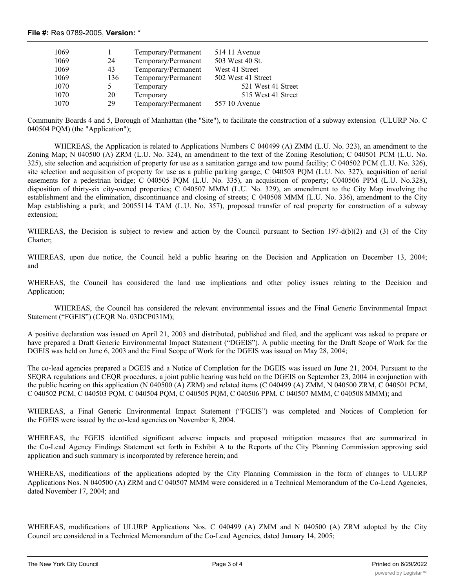## **File #:** Res 0789-2005, **Version:** \*

| 1069 |     | Temporary/Permanent | 514 11 Avenue      |
|------|-----|---------------------|--------------------|
| 1069 | 24  | Temporary/Permanent | 503 West 40 St.    |
| 1069 | 43  | Temporary/Permanent | West 41 Street     |
| 1069 | 136 | Temporary/Permanent | 502 West 41 Street |
| 1070 |     | Temporary           | 521 West 41 Street |
| 1070 | 20  | Temporary           | 515 West 41 Street |
| 1070 | 29  | Temporary/Permanent | 557 10 Avenue      |

Community Boards 4 and 5, Borough of Manhattan (the "Site"), to facilitate the construction of a subway extension (ULURP No. C 040504 PQM) (the "Application");

WHEREAS, the Application is related to Applications Numbers C 040499 (A) ZMM (L.U. No. 323), an amendment to the Zoning Map; N 040500 (A) ZRM (L.U. No. 324), an amendment to the text of the Zoning Resolution; C 040501 PCM (L.U. No. 325), site selection and acquisition of property for use as a sanitation garage and tow pound facility; C 040502 PCM (L.U. No. 326), site selection and acquisition of property for use as a public parking garage; C 040503 PQM (L.U. No. 327), acquisition of aerial easements for a pedestrian bridge; C 040505 PQM (L.U. No. 335), an acquisition of property; C040506 PPM (L.U. No.328), disposition of thirty-six city-owned properties; C 040507 MMM (L.U. No. 329), an amendment to the City Map involving the establishment and the elimination, discontinuance and closing of streets; C 040508 MMM (L.U. No. 336), amendment to the City Map establishing a park; and 20055114 TAM (L.U. No. 357), proposed transfer of real property for construction of a subway extension;

WHEREAS, the Decision is subject to review and action by the Council pursuant to Section 197-d(b)(2) and (3) of the City Charter;

WHEREAS, upon due notice, the Council held a public hearing on the Decision and Application on December 13, 2004; and

WHEREAS, the Council has considered the land use implications and other policy issues relating to the Decision and Application;

WHEREAS, the Council has considered the relevant environmental issues and the Final Generic Environmental Impact Statement ("FGEIS") (CEQR No. 03DCP031M);

A positive declaration was issued on April 21, 2003 and distributed, published and filed, and the applicant was asked to prepare or have prepared a Draft Generic Environmental Impact Statement ("DGEIS"). A public meeting for the Draft Scope of Work for the DGEIS was held on June 6, 2003 and the Final Scope of Work for the DGEIS was issued on May 28, 2004;

The co-lead agencies prepared a DGEIS and a Notice of Completion for the DGEIS was issued on June 21, 2004. Pursuant to the SEQRA regulations and CEQR procedures, a joint public hearing was held on the DGEIS on September 23, 2004 in conjunction with the public hearing on this application (N 040500 (A) ZRM) and related items (C 040499 (A) ZMM, N 040500 ZRM, C 040501 PCM, C 040502 PCM, C 040503 PQM, C 040504 PQM, C 040505 PQM, C 040506 PPM, C 040507 MMM, C 040508 MMM); and

WHEREAS, a Final Generic Environmental Impact Statement ("FGEIS") was completed and Notices of Completion for the FGEIS were issued by the co-lead agencies on November 8, 2004.

WHEREAS, the FGEIS identified significant adverse impacts and proposed mitigation measures that are summarized in the Co-Lead Agency Findings Statement set forth in Exhibit A to the Reports of the City Planning Commission approving said application and such summary is incorporated by reference herein; and

WHEREAS, modifications of the applications adopted by the City Planning Commission in the form of changes to ULURP Applications Nos. N 040500 (A) ZRM and C 040507 MMM were considered in a Technical Memorandum of the Co-Lead Agencies, dated November 17, 2004; and

WHEREAS, modifications of ULURP Applications Nos. C 040499 (A) ZMM and N 040500 (A) ZRM adopted by the City Council are considered in a Technical Memorandum of the Co-Lead Agencies, dated January 14, 2005;